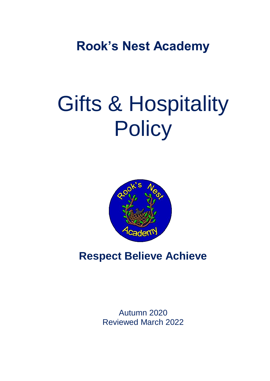**Rook's Nest Academy**

# Gifts & Hospitality **Policy**



## **Respect Believe Achieve**

Autumn 2020 Reviewed March 2022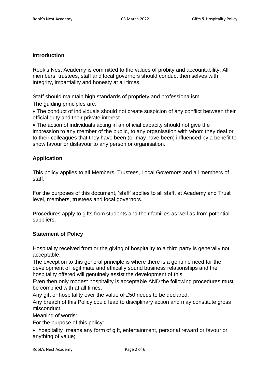#### **Introduction**

Rook's Nest Academy is committed to the values of probity and accountability. All members, trustees, staff and local governors should conduct themselves with integrity, impartiality and honesty at all times.

Staff should maintain high standards of propriety and professionalism.

The guiding principles are:

 The conduct of individuals should not create suspicion of any conflict between their official duty and their private interest.

 The action of individuals acting in an official capacity should not give the impression to any member of the public, to any organisation with whom they deal or to their colleagues that they have been (or may have been) influenced by a benefit to show favour or disfavour to any person or organisation.

#### **Application**

This policy applies to all Members, Trustees, Local Governors and all members of staff.

For the purposes of this document, 'staff' applies to all staff, at Academy and Trust level, members, trustees and local governors.

Procedures apply to gifts from students and their families as well as from potential suppliers.

#### **Statement of Policy**

Hospitality received from or the giving of hospitality to a third party is generally not acceptable.

The exception to this general principle is where there is a genuine need for the development of legitimate and ethically sound business relationships and the hospitality offered will genuinely assist the development of this.

Even then only modest hospitality is acceptable AND the following procedures must be complied with at all times.

Any gift or hospitality over the value of £50 needs to be declared.

Any breach of this Policy could lead to disciplinary action and may constitute gross misconduct.

Meaning of words:

For the purpose of this policy:

 "hospitality" means any form of gift, entertainment, personal reward or favour or anything of value;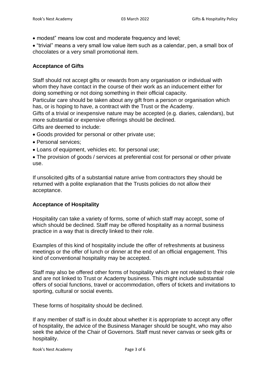modest" means low cost and moderate frequency and level;

 "trivial" means a very small low value item such as a calendar, pen, a small box of chocolates or a very small promotional item.

#### **Acceptance of Gifts**

Staff should not accept gifts or rewards from any organisation or individual with whom they have contact in the course of their work as an inducement either for doing something or not doing something in their official capacity.

Particular care should be taken about any gift from a person or organisation which has, or is hoping to have, a contract with the Trust or the Academy.

Gifts of a trivial or inexpensive nature may be accepted (e.g. diaries, calendars), but more substantial or expensive offerings should be declined.

Gifts are deemed to include:

- Goods provided for personal or other private use;
- Personal services:
- Loans of equipment, vehicles etc. for personal use;
- The provision of goods / services at preferential cost for personal or other private use.

If unsolicited gifts of a substantial nature arrive from contractors they should be returned with a polite explanation that the Trusts policies do not allow their acceptance.

#### **Acceptance of Hospitality**

Hospitality can take a variety of forms, some of which staff may accept, some of which should be declined. Staff may be offered hospitality as a normal business practice in a way that is directly linked to their role.

Examples of this kind of hospitality include the offer of refreshments at business meetings or the offer of lunch or dinner at the end of an official engagement. This kind of conventional hospitality may be accepted.

Staff may also be offered other forms of hospitality which are not related to their role and are not linked to Trust or Academy business. This might include substantial offers of social functions, travel or accommodation, offers of tickets and invitations to sporting, cultural or social events.

These forms of hospitality should be declined.

If any member of staff is in doubt about whether it is appropriate to accept any offer of hospitality, the advice of the Business Manager should be sought, who may also seek the advice of the Chair of Governors. Staff must never canvas or seek gifts or hospitality.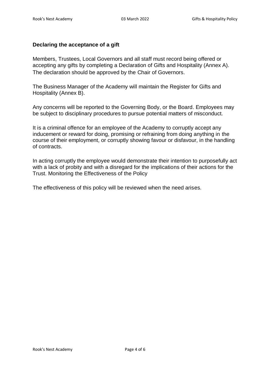#### **Declaring the acceptance of a gift**

Members, Trustees, Local Governors and all staff must record being offered or accepting any gifts by completing a Declaration of Gifts and Hospitality (Annex A). The declaration should be approved by the Chair of Governors.

The Business Manager of the Academy will maintain the Register for Gifts and Hospitality (Annex B).

Any concerns will be reported to the Governing Body, or the Board. Employees may be subject to disciplinary procedures to pursue potential matters of misconduct.

It is a criminal offence for an employee of the Academy to corruptly accept any inducement or reward for doing, promising or refraining from doing anything in the course of their employment, or corruptly showing favour or disfavour, in the handling of contracts.

In acting corruptly the employee would demonstrate their intention to purposefully act with a lack of probity and with a disregard for the implications of their actions for the Trust. Monitoring the Effectiveness of the Policy

The effectiveness of this policy will be reviewed when the need arises.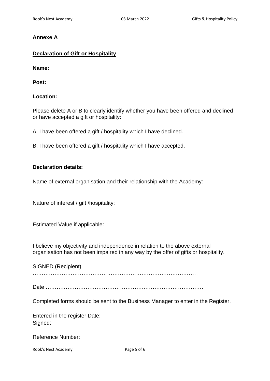#### **Annexe A**

#### **Declaration of Gift or Hospitality**

**Name:** 

**Post:** 

#### **Location:**

Please delete A or B to clearly identify whether you have been offered and declined or have accepted a gift or hospitality:

A. I have been offered a gift / hospitality which I have declined.

B. I have been offered a gift / hospitality which I have accepted.

#### **Declaration details:**

Name of external organisation and their relationship with the Academy:

Nature of interest / gift /hospitality:

Estimated Value if applicable:

I believe my objectivity and independence in relation to the above external organisation has not been impaired in any way by the offer of gifts or hospitality.

SIGNED (Recipient)

………………………………………………………………………………

Date ……………………………………………………………………………

Completed forms should be sent to the Business Manager to enter in the Register.

Entered in the register Date: Signed:

Reference Number:

Rook's Nest Academy **Page 5 of 6**